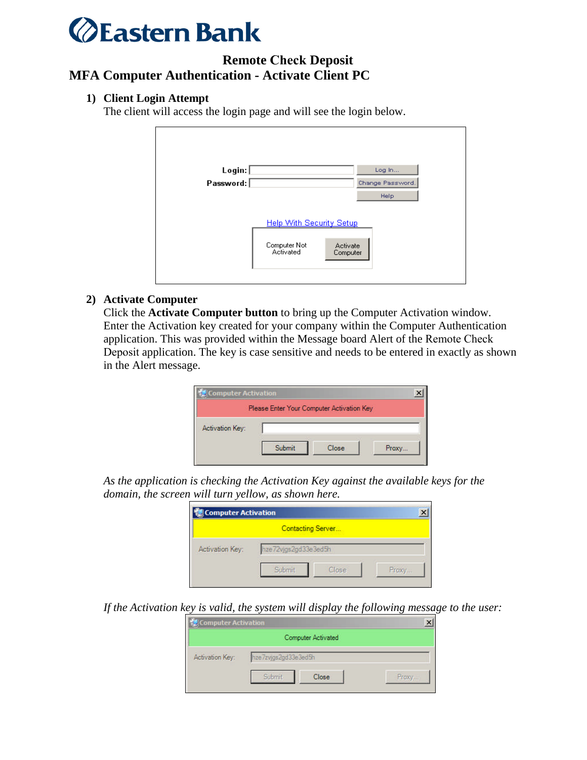

## **Remote Check Deposit MFA Computer Authentication - Activate Client PC**

## **1) Client Login Attempt**

The client will access the login page and will see the login below.

| Login:    | Log In                                            |
|-----------|---------------------------------------------------|
| Password: | Change Password.                                  |
|           | Help                                              |
|           | <b>Help With Security Setup</b>                   |
|           | Computer Not<br>Activate<br>Activated<br>Computer |

## **2) Activate Computer**

Click the **Activate Computer button** to bring up the Computer Activation window. Enter the Activation key created for your company within the Computer Authentication application. This was provided within the Message board Alert of the Remote Check Deposit application. The key is case sensitive and needs to be entered in exactly as shown in the Alert message.

|                 |        | Please Enter Your Computer Activation Key |       |
|-----------------|--------|-------------------------------------------|-------|
| Activation Key: |        |                                           |       |
|                 | Submit | Close                                     | Proxy |

*As the application is checking the Activation Key against the available keys for the domain, the screen will turn yellow, as shown here.*

|                 |                      | Contacting Server |       |
|-----------------|----------------------|-------------------|-------|
| Activation Key: | hze72vjgs2gd33e3ed5h |                   |       |
|                 | Submit               | Close             | Proxy |

*If the Activation key is valid, the system will display the following message to the user:*

|                 | <b>Computer Activated</b> |       |
|-----------------|---------------------------|-------|
| Activation Key: | hze7zvjgs2gd33e3ed5h      |       |
|                 | Submit.<br>Close          | Proxy |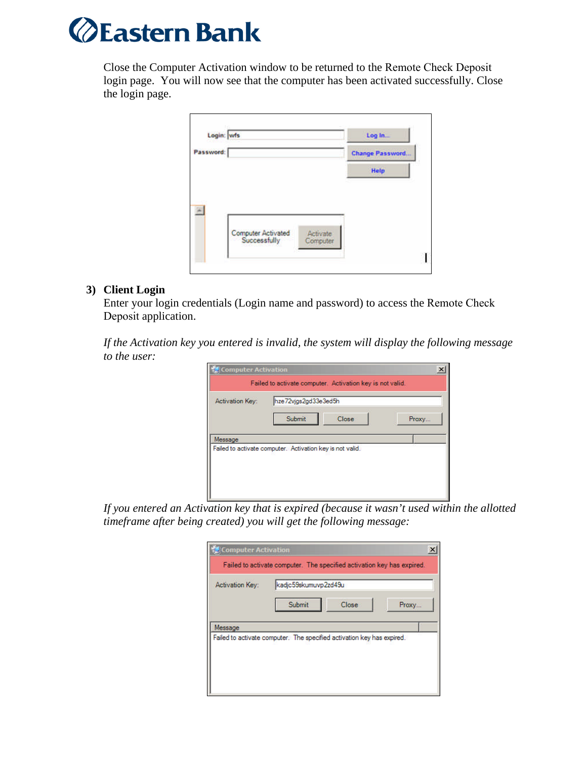

Close the Computer Activation window to be returned to the Remote Check Deposit login page. You will now see that the computer has been activated successfully. Close the login page.

|           | Login: wfs                                                 | Log In.                |
|-----------|------------------------------------------------------------|------------------------|
| Password: |                                                            | <b>Change Password</b> |
|           |                                                            | Help                   |
|           |                                                            |                        |
|           |                                                            |                        |
|           |                                                            |                        |
|           | Computer Activated<br>Successfully<br>Activate<br>Computer |                        |

## **3) Client Login**

Enter your login credentials (Login name and password) to access the Remote Check Deposit application.

*If the Activation key you entered is invalid, the system will display the following message to the user:*

| <b>Activation Key:</b>                                               | hze72vjgs2gd33e3ed5h |       |       |
|----------------------------------------------------------------------|----------------------|-------|-------|
|                                                                      | Submit               | Close | Proxy |
| Message<br>Failed to activate computer. Activation key is not valid. |                      |       |       |

*If you entered an Activation key that is expired (because it wasn't used within the allotted timeframe after being created) you will get the following message:*

| <b>Computer Activation</b> |                                                                        | × |
|----------------------------|------------------------------------------------------------------------|---|
|                            | Failed to activate computer. The specified activation key has expired. |   |
| Activation Key:            | kadjc59skumuvp2zd49u                                                   |   |
|                            | Submit<br>Close<br>Proxy                                               |   |
| Message                    |                                                                        |   |
|                            | Failed to activate computer. The specified activation key has expired. |   |